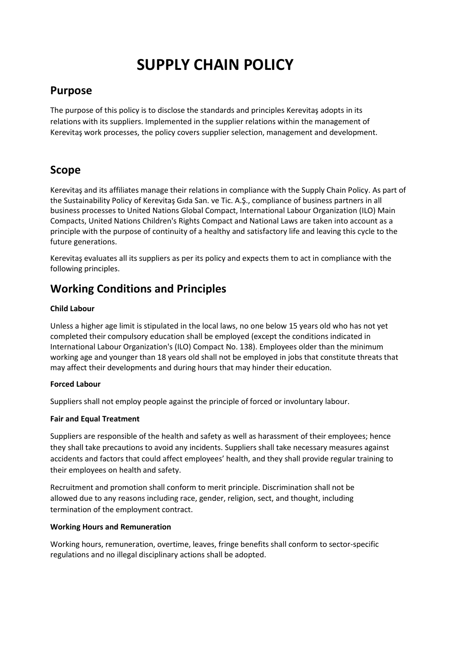# **SUPPLY CHAIN POLICY**

## **Purpose**

The purpose of this policy is to disclose the standards and principles Kerevitaş adopts in its relations with its suppliers. Implemented in the supplier relations within the management of Kerevitaş work processes, the policy covers supplier selection, management and development.

## **Scope**

Kerevitaş and its affiliates manage their relations in compliance with the Supply Chain Policy. As part of the Sustainability Policy of Kerevitaş Gıda San. ve Tic. A.Ş., compliance of business partners in all business processes to United Nations Global Compact, International Labour Organization (ILO) Main Compacts, United Nations Children's Rights Compact and National Laws are taken into account as a principle with the purpose of continuity of a healthy and satisfactory life and leaving this cycle to the future generations.

Kerevitaş evaluates all its suppliers as per its policy and expects them to act in compliance with the following principles.

# **Working Conditions and Principles**

#### **Child Labour**

Unless a higher age limit is stipulated in the local laws, no one below 15 years old who has not yet completed their compulsory education shall be employed (except the conditions indicated in International Labour Organization's (ILO) Compact No. 138). Employees older than the minimum working age and younger than 18 years old shall not be employed in jobs that constitute threats that may affect their developments and during hours that may hinder their education.

#### **Forced Labour**

Suppliers shall not employ people against the principle of forced or involuntary labour.

### **Fair and Equal Treatment**

Suppliers are responsible of the health and safety as well as harassment of their employees; hence they shall take precautions to avoid any incidents. Suppliers shall take necessary measures against accidents and factors that could affect employees' health, and they shall provide regular training to their employees on health and safety.

Recruitment and promotion shall conform to merit principle. Discrimination shall not be allowed due to any reasons including race, gender, religion, sect, and thought, including termination of the employment contract.

#### **Working Hours and Remuneration**

Working hours, remuneration, overtime, leaves, fringe benefits shall conform to sector-specific regulations and no illegal disciplinary actions shall be adopted.